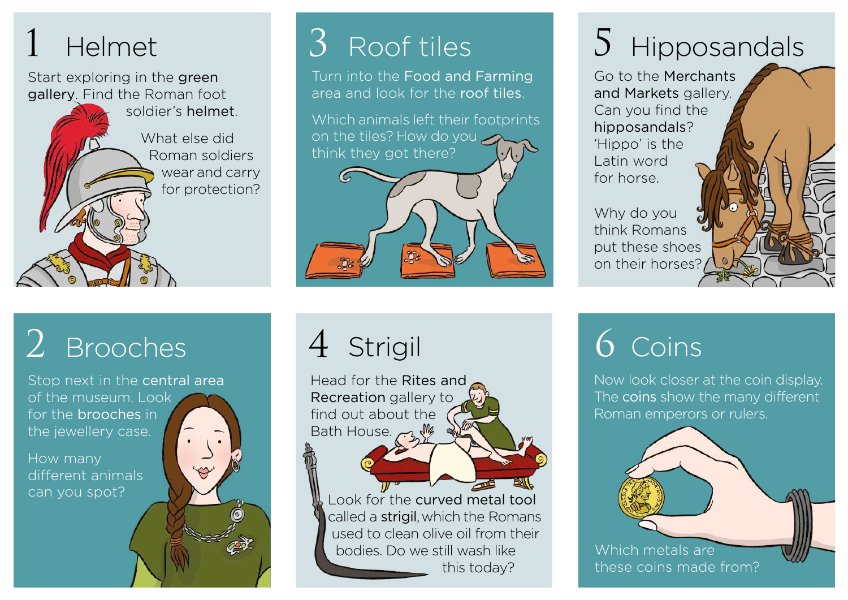Start exploring in the green gallery. Find the Roman foot

 soldier's helmet.

 What else did Roman soldiers wear and carry for protection?

### $2$  Brooches  $4$  Strigil  $6$  Coins

Stop next in the central area of the museum. Look for the brooches in the jewellery case.

How many different animals can you spot?

Turn into the Food and Farming area and look for the roof tiles.

Which animals left their footprints on the tiles? How do you think they got there?

### Helmet **3** Roof tiles 5 Hipposandals

Go to the Merchants and Markets gallery. Can you find the hipposandals? 'Hippo' is the Latin word for horse.

Why do you think Romans put these shoes on their horses?

Head for the Rites and Recreation gallery to find out about the Bath House.

Look for the curved metal tool called a strigil, which the Romans used to clean olive oil from their bodies. Do we still wash like this today?

Now look closer at the coin display. The coins show the many different Roman emperors or rulers.

Which metals are these coins made from?